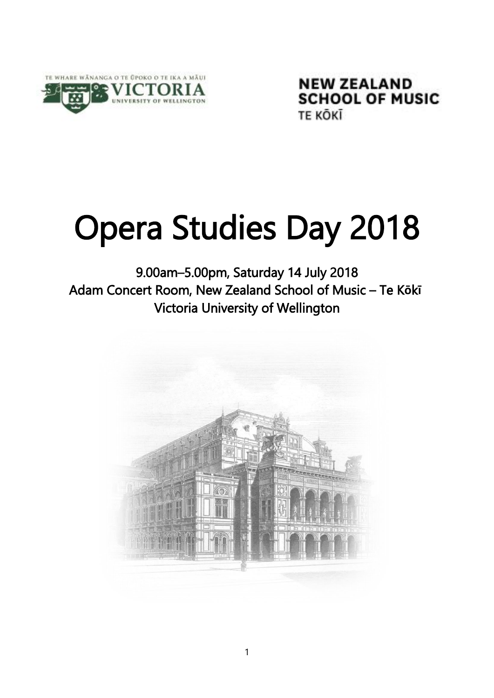

**NEW ZEALAND SCHOOL OF MUSIC** TE KŌKĪ

# Opera Studies Day 2018

9.00am–5.00pm, Saturday 14 July 2018 Adam Concert Room, New Zealand School of Music – Te K**ō**k**ī** Victoria University of Wellington

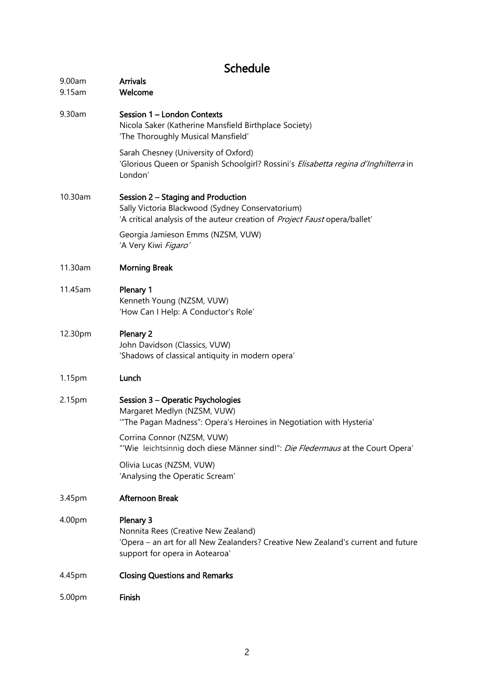# Schedule

| 9.00am<br>9.15am | <b>Arrivals</b><br>Welcome                                                                                                                                              |
|------------------|-------------------------------------------------------------------------------------------------------------------------------------------------------------------------|
| 9.30am           | Session 1 - London Contexts<br>Nicola Saker (Katherine Mansfield Birthplace Society)<br>'The Thoroughly Musical Mansfield'                                              |
|                  | Sarah Chesney (University of Oxford)<br>'Glorious Queen or Spanish Schoolgirl? Rossini's Elisabetta regina d'Inghilterra in<br>London'                                  |
| 10.30am          | Session 2 - Staging and Production<br>Sally Victoria Blackwood (Sydney Conservatorium)<br>'A critical analysis of the auteur creation of Project Faust opera/ballet'    |
|                  | Georgia Jamieson Emms (NZSM, VUW)<br>'A Very Kiwi Figaro'                                                                                                               |
| 11.30am          | <b>Morning Break</b>                                                                                                                                                    |
| 11.45am          | Plenary 1<br>Kenneth Young (NZSM, VUW)<br>'How Can I Help: A Conductor's Role'                                                                                          |
| 12.30pm          | Plenary 2<br>John Davidson (Classics, VUW)<br>'Shadows of classical antiquity in modern opera'                                                                          |
| 1.15pm           | Lunch                                                                                                                                                                   |
| 2.15pm           | Session 3 - Operatic Psychologies<br>Margaret Medlyn (NZSM, VUW)<br>"The Pagan Madness": Opera's Heroines in Negotiation with Hysteria'                                 |
|                  | Corrina Connor (NZSM, VUW)<br>"Wie leichtsinnig doch diese Männer sind!": Die Fledermaus at the Court Opera'                                                            |
|                  | Olivia Lucas (NZSM, VUW)<br>'Analysing the Operatic Scream'                                                                                                             |
| 3.45pm           | <b>Afternoon Break</b>                                                                                                                                                  |
| 4.00pm           | Plenary 3<br>Nonnita Rees (Creative New Zealand)<br>'Opera - an art for all New Zealanders? Creative New Zealand's current and future<br>support for opera in Aotearoa' |
| 4.45pm           | <b>Closing Questions and Remarks</b>                                                                                                                                    |
| 5.00pm           | Finish                                                                                                                                                                  |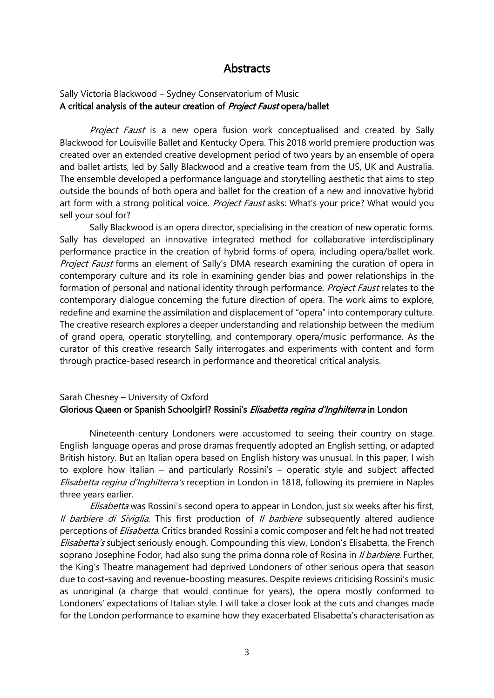### **Abstracts**

#### Sally Victoria Blackwood – Sydney Conservatorium of Music A critical analysis of the auteur creation of *Project Faust* opera/ballet

Project Faust is a new opera fusion work conceptualised and created by Sally Blackwood for Louisville Ballet and Kentucky Opera. This 2018 world premiere production was created over an extended creative development period of two years by an ensemble of opera and ballet artists, led by Sally Blackwood and a creative team from the US, UK and Australia. The ensemble developed a performance language and storytelling aesthetic that aims to step outside the bounds of both opera and ballet for the creation of a new and innovative hybrid art form with a strong political voice. Project Faust asks: What's your price? What would you sell your soul for?

Sally Blackwood is an opera director, specialising in the creation of new operatic forms. Sally has developed an innovative integrated method for collaborative interdisciplinary performance practice in the creation of hybrid forms of opera, including opera/ballet work. Project Faust forms an element of Sally's DMA research examining the curation of opera in contemporary culture and its role in examining gender bias and power relationships in the formation of personal and national identity through performance. Project Faust relates to the contemporary dialogue concerning the future direction of opera. The work aims to explore, redefine and examine the assimilation and displacement of "opera" into contemporary culture. The creative research explores a deeper understanding and relationship between the medium of grand opera, operatic storytelling, and contemporary opera/music performance. As the curator of this creative research Sally interrogates and experiments with content and form through practice-based research in performance and theoretical critical analysis.

#### Sarah Chesney – University of Oxford Glorious Queen or Spanish Schoolgirl? Rossini's *Elisabetta regina d'Inghilterra* in London

Nineteenth-century Londoners were accustomed to seeing their country on stage. English-language operas and prose dramas frequently adopted an English setting, or adapted British history. But an Italian opera based on English history was unusual. In this paper, I wish to explore how Italian – and particularly Rossini's – operatic style and subject affected Elisabetta regina d'Inghilterra's reception in London in 1818, following its premiere in Naples three years earlier.

Elisabetta was Rossini's second opera to appear in London, just six weeks after his first, Il barbiere di Siviglia. This first production of Il barbiere subsequently altered audience perceptions of *Elisabetta*. Critics branded Rossini a comic composer and felt he had not treated Elisabetta's subject seriously enough. Compounding this view, London's Elisabetta, the French soprano Josephine Fodor, had also sung the prima donna role of Rosina in *Il barbiere*. Further, the King's Theatre management had deprived Londoners of other serious opera that season due to cost-saving and revenue-boosting measures. Despite reviews criticising Rossini's music as unoriginal (a charge that would continue for years), the opera mostly conformed to Londoners' expectations of Italian style. I will take a closer look at the cuts and changes made for the London performance to examine how they exacerbated Elisabetta's characterisation as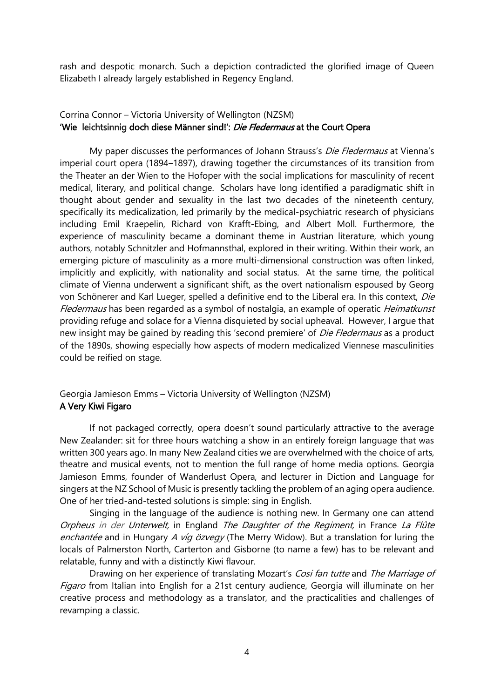rash and despotic monarch. Such a depiction contradicted the glorified image of Queen Elizabeth I already largely established in Regency England.

#### Corrina Connor – Victoria University of Wellington (NZSM) 'Wie leichtsinnig doch diese Männer sind!': Die Fledermaus at the Court Opera

My paper discusses the performances of Johann Strauss's *Die Fledermaus* at Vienna's imperial court opera (1894–1897), drawing together the circumstances of its transition from the Theater an der Wien to the Hofoper with the social implications for masculinity of recent medical, literary, and political change. Scholars have long identified a paradigmatic shift in thought about gender and sexuality in the last two decades of the nineteenth century, specifically its medicalization, led primarily by the medical-psychiatric research of physicians including Emil Kraepelin, Richard von Krafft-Ebing, and Albert Moll. Furthermore, the experience of masculinity became a dominant theme in Austrian literature, which young authors, notably Schnitzler and Hofmannsthal, explored in their writing. Within their work, an emerging picture of masculinity as a more multi-dimensional construction was often linked, implicitly and explicitly, with nationality and social status. At the same time, the political climate of Vienna underwent a significant shift, as the overt nationalism espoused by Georg von Schönerer and Karl Lueger, spelled a definitive end to the Liberal era. In this context, Die Fledermaus has been regarded as a symbol of nostalgia, an example of operatic Heimatkunst providing refuge and solace for a Vienna disquieted by social upheaval. However, I argue that new insight may be gained by reading this 'second premiere' of *Die Fledermaus* as a product of the 1890s, showing especially how aspects of modern medicalized Viennese masculinities could be reified on stage.

#### Georgia Jamieson Emms – Victoria University of Wellington (NZSM) A Very Kiwi Figaro

If not packaged correctly, opera doesn't sound particularly attractive to the average New Zealander: sit for three hours watching a show in an entirely foreign language that was written 300 years ago. In many New Zealand cities we are overwhelmed with the choice of arts, theatre and musical events, not to mention the full range of home media options. Georgia Jamieson Emms, founder of Wanderlust Opera, and lecturer in Diction and Language for singers at the NZ School of Music is presently tackling the problem of an aging opera audience. One of her tried-and-tested solutions is simple: sing in English.

Singing in the language of the audience is nothing new. In Germany one can attend Orpheus in der Unterwelt, in England The Daughter of the Regiment, in France La Flûte enchantée and in Hungary A víg özvegy (The Merry Widow). But a translation for luring the locals of Palmerston North, Carterton and Gisborne (to name a few) has to be relevant and relatable, funny and with a distinctly Kiwi flavour.

Drawing on her experience of translating Mozart's Cosi fan tutte and The Marriage of Figaro from Italian into English for a 21st century audience, Georgia will illuminate on her creative process and methodology as a translator, and the practicalities and challenges of revamping a classic.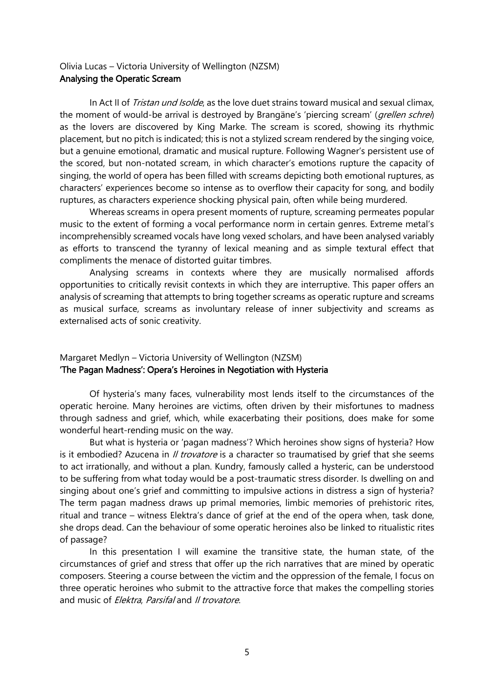#### Olivia Lucas – Victoria University of Wellington (NZSM) Analysing the Operatic Scream

In Act II of *Tristan und Isolde*, as the love duet strains toward musical and sexual climax, the moment of would-be arrival is destroyed by Brangäne's 'piercing scream' (*grellen schrei*) as the lovers are discovered by King Marke. The scream is scored, showing its rhythmic placement, but no pitch is indicated; this is not a stylized scream rendered by the singing voice, but a genuine emotional, dramatic and musical rupture. Following Wagner's persistent use of the scored, but non-notated scream, in which character's emotions rupture the capacity of singing, the world of opera has been filled with screams depicting both emotional ruptures, as characters' experiences become so intense as to overflow their capacity for song, and bodily ruptures, as characters experience shocking physical pain, often while being murdered.

Whereas screams in opera present moments of rupture, screaming permeates popular music to the extent of forming a vocal performance norm in certain genres. Extreme metal's incomprehensibly screamed vocals have long vexed scholars, and have been analysed variably as efforts to transcend the tyranny of lexical meaning and as simple textural effect that compliments the menace of distorted guitar timbres.

Analysing screams in contexts where they are musically normalised affords opportunities to critically revisit contexts in which they are interruptive. This paper offers an analysis of screaming that attempts to bring together screams as operatic rupture and screams as musical surface, screams as involuntary release of inner subjectivity and screams as externalised acts of sonic creativity.

#### Margaret Medlyn – Victoria University of Wellington (NZSM) 'The Pagan Madness': Opera's Heroines in Negotiation with Hysteria

Of hysteria's many faces, vulnerability most lends itself to the circumstances of the operatic heroine. Many heroines are victims, often driven by their misfortunes to madness through sadness and grief, which, while exacerbating their positions, does make for some wonderful heart-rending music on the way.

But what is hysteria or 'pagan madness'? Which heroines show signs of hysteria? How is it embodied? Azucena in *Il trovatore* is a character so traumatised by grief that she seems to act irrationally, and without a plan. Kundry, famously called a hysteric, can be understood to be suffering from what today would be a post-traumatic stress disorder. Is dwelling on and singing about one's grief and committing to impulsive actions in distress a sign of hysteria? The term pagan madness draws up primal memories, limbic memories of prehistoric rites, ritual and trance – witness Elektra's dance of grief at the end of the opera when, task done, she drops dead. Can the behaviour of some operatic heroines also be linked to ritualistic rites of passage?

In this presentation I will examine the transitive state, the human state, of the circumstances of grief and stress that offer up the rich narratives that are mined by operatic composers. Steering a course between the victim and the oppression of the female, I focus on three operatic heroines who submit to the attractive force that makes the compelling stories and music of *Elektra, Parsifal* and *II trovatore*.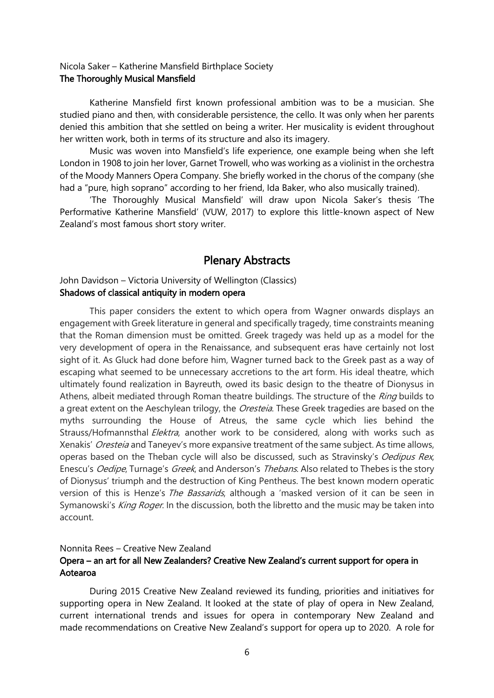#### Nicola Saker – Katherine Mansfield Birthplace Society The Thoroughly Musical Mansfield

Katherine Mansfield first known professional ambition was to be a musician. She studied piano and then, with considerable persistence, the cello. It was only when her parents denied this ambition that she settled on being a writer. Her musicality is evident throughout her written work, both in terms of its structure and also its imagery.

Music was woven into Mansfield's life experience, one example being when she left London in 1908 to join her lover, Garnet Trowell, who was working as a violinist in the orchestra of the Moody Manners Opera Company. She briefly worked in the chorus of the company (she had a "pure, high soprano" according to her friend, Ida Baker, who also musically trained).

'The Thoroughly Musical Mansfield' will draw upon Nicola Saker's thesis 'The Performative Katherine Mansfield' (VUW, 2017) to explore this little-known aspect of New Zealand's most famous short story writer.

## Plenary Abstracts

#### John Davidson – Victoria University of Wellington (Classics) Shadows of classical antiquity in modern opera

This paper considers the extent to which opera from Wagner onwards displays an engagement with Greek literature in general and specifically tragedy, time constraints meaning that the Roman dimension must be omitted. Greek tragedy was held up as a model for the very development of opera in the Renaissance, and subsequent eras have certainly not lost sight of it. As Gluck had done before him, Wagner turned back to the Greek past as a way of escaping what seemed to be unnecessary accretions to the art form. His ideal theatre, which ultimately found realization in Bayreuth, owed its basic design to the theatre of Dionysus in Athens, albeit mediated through Roman theatre buildings. The structure of the *Ring* builds to a great extent on the Aeschylean trilogy, the *Oresteia*. These Greek tragedies are based on the myths surrounding the House of Atreus, the same cycle which lies behind the Strauss/Hofmannsthal *Elektra*, another work to be considered, along with works such as Xenakis' Oresteia and Taneyev's more expansive treatment of the same subject. As time allows, operas based on the Theban cycle will also be discussed, such as Stravinsky's Oedipus Rex, Enescu's Oedipe, Turnage's Greek, and Anderson's Thebans. Also related to Thebes is the story of Dionysus' triumph and the destruction of King Pentheus. The best known modern operatic version of this is Henze's The Bassarids, although a 'masked version of it can be seen in Symanowski's King Roger. In the discussion, both the libretto and the music may be taken into account.

#### Nonnita Rees – Creative New Zealand Opera – an art for all New Zealanders? Creative New Zealand's current support for opera in Aotearoa

During 2015 Creative New Zealand reviewed its funding, priorities and initiatives for supporting opera in New Zealand. It looked at the state of play of opera in New Zealand, current international trends and issues for opera in contemporary New Zealand and made recommendations on Creative New Zealand's support for opera up to 2020. A role for